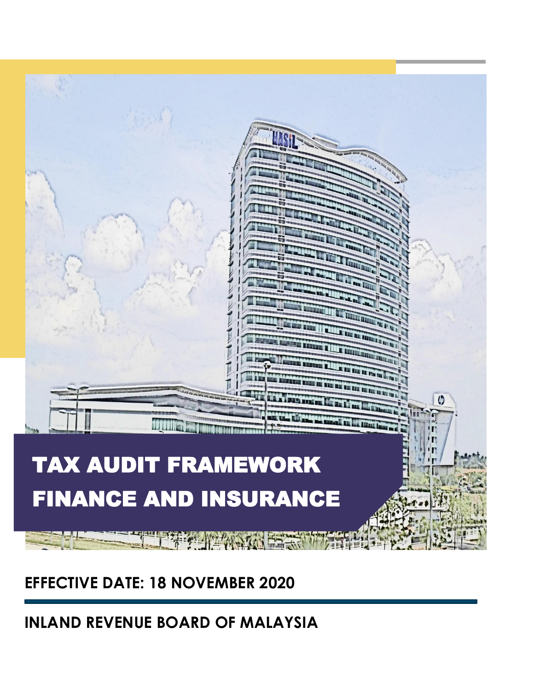

**EFFECTIVE DATE: 18 NOVEMBER 2020**

**INLAND REVENUE BOARD OF MALAYSIA**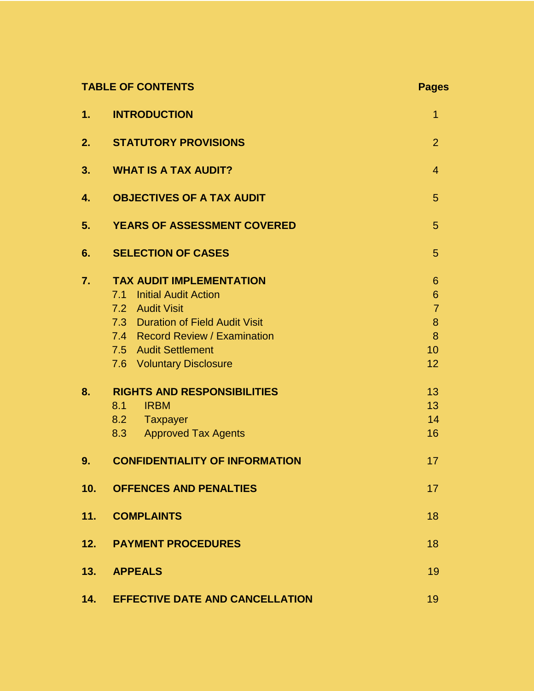|     | <b>TABLE OF CONTENTS</b>                                                                                                                                                                 | <b>Pages</b>                                           |  |  |  |
|-----|------------------------------------------------------------------------------------------------------------------------------------------------------------------------------------------|--------------------------------------------------------|--|--|--|
| 1.  | <b>INTRODUCTION</b>                                                                                                                                                                      | 1                                                      |  |  |  |
| 2.  | <b>STATUTORY PROVISIONS</b>                                                                                                                                                              | $\overline{2}$                                         |  |  |  |
| 3.  | <b>WHAT IS A TAX AUDIT?</b>                                                                                                                                                              | $\overline{4}$                                         |  |  |  |
| 4.  | <b>OBJECTIVES OF A TAX AUDIT</b>                                                                                                                                                         | 5                                                      |  |  |  |
| 5.  | <b>YEARS OF ASSESSMENT COVERED</b>                                                                                                                                                       | 5                                                      |  |  |  |
| 6.  | <b>SELECTION OF CASES</b>                                                                                                                                                                | 5                                                      |  |  |  |
| 7.  | <b>TAX AUDIT IMPLEMENTATION</b><br><b>Initial Audit Action</b><br>7.1<br>7.2 Audit Visit<br>7.3 Duration of Field Audit Visit<br>7.4 Record Review / Examination<br>7.5 Audit Settlement | 6<br>$6\phantom{1}6$<br>$\overline{7}$<br>8<br>8<br>10 |  |  |  |
|     | 7.6 Voluntary Disclosure                                                                                                                                                                 | 12                                                     |  |  |  |
| 8.  | <b>RIGHTS AND RESPONSIBILITIES</b><br>8.1<br><b>IRBM</b><br>8.2 Taxpayer<br>8.3<br><b>Approved Tax Agents</b>                                                                            | 13<br>13<br>14<br>16                                   |  |  |  |
| 9.  | <b>CONFIDENTIALITY OF INFORMATION</b>                                                                                                                                                    | 17                                                     |  |  |  |
| 10. | <b>OFFENCES AND PENALTIES</b>                                                                                                                                                            | 17                                                     |  |  |  |
| 11. | <b>COMPLAINTS</b>                                                                                                                                                                        | 18                                                     |  |  |  |
| 12. | <b>PAYMENT PROCEDURES</b>                                                                                                                                                                | 18                                                     |  |  |  |
| 13. | <b>APPEALS</b>                                                                                                                                                                           |                                                        |  |  |  |
| 14. | <b>EFFECTIVE DATE AND CANCELLATION</b>                                                                                                                                                   |                                                        |  |  |  |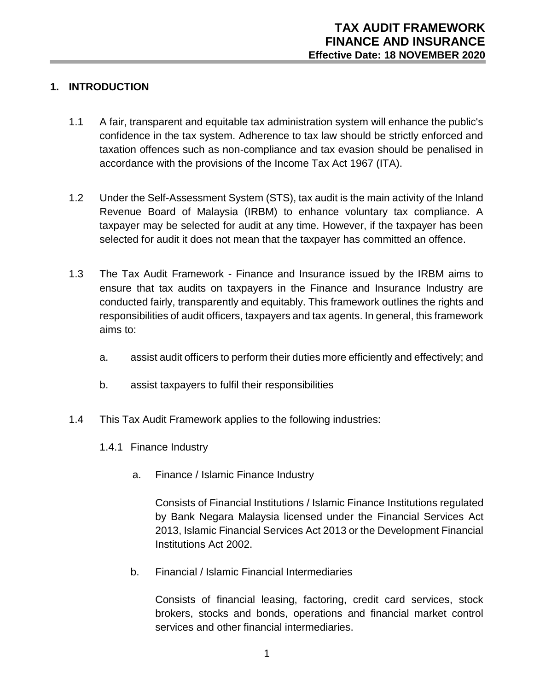# **1. INTRODUCTION**

- 1.1 A fair, transparent and equitable tax administration system will enhance the public's confidence in the tax system. Adherence to tax law should be strictly enforced and taxation offences such as non-compliance and tax evasion should be penalised in accordance with the provisions of the Income Tax Act 1967 (ITA).
- 1.2 Under the Self-Assessment System (STS), tax audit is the main activity of the Inland Revenue Board of Malaysia (IRBM) to enhance voluntary tax compliance. A taxpayer may be selected for audit at any time. However, if the taxpayer has been selected for audit it does not mean that the taxpayer has committed an offence.
- 1.3 The Tax Audit Framework Finance and Insurance issued by the IRBM aims to ensure that tax audits on taxpayers in the Finance and Insurance Industry are conducted fairly, transparently and equitably. This framework outlines the rights and responsibilities of audit officers, taxpayers and tax agents. In general, this framework aims to:
	- a. assist audit officers to perform their duties more efficiently and effectively; and
	- b. assist taxpayers to fulfil their responsibilities
- 1.4 This Tax Audit Framework applies to the following industries:
	- 1.4.1 Finance Industry
		- a. Finance / Islamic Finance Industry

Consists of Financial Institutions / Islamic Finance Institutions regulated by Bank Negara Malaysia licensed under the Financial Services Act 2013, Islamic Financial Services Act 2013 or the Development Financial Institutions Act 2002.

b. Financial / Islamic Financial Intermediaries

Consists of financial leasing, factoring, credit card services, stock brokers, stocks and bonds, operations and financial market control services and other financial intermediaries.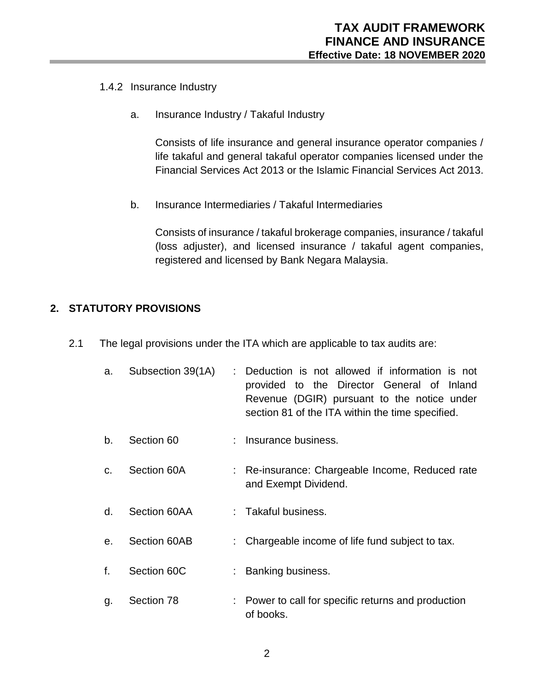#### 1.4.2 Insurance Industry

a. Insurance Industry / Takaful Industry

Consists of life insurance and general insurance operator companies / life takaful and general takaful operator companies licensed under the Financial Services Act 2013 or the Islamic Financial Services Act 2013.

b. Insurance Intermediaries / Takaful Intermediaries

Consists of insurance / takaful brokerage companies, insurance / takaful (loss adjuster), and licensed insurance / takaful agent companies, registered and licensed by Bank Negara Malaysia.

# **2. STATUTORY PROVISIONS**

- 2.1 The legal provisions under the ITA which are applicable to tax audits are:
	- a. Subsection 39(1A) : Deduction is not allowed if information is not provided to the Director General of Inland Revenue (DGIR) pursuant to the notice under section 81 of the ITA within the time specified.
	- b. Section 60 : Insurance business.
	- c. Section 60A : Re-insurance: Chargeable Income, Reduced rate and Exempt Dividend.
	- d. Section 60AA : Takaful business.
	- e. Section 60AB : Chargeable income of life fund subject to tax.
	- f. Section 60C : Banking business.
	- g. Section 78 : Power to call for specific returns and production of books.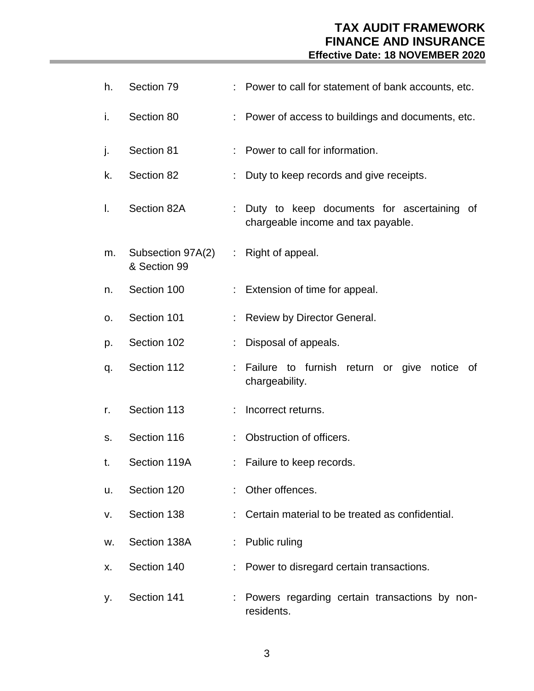# **TAX AUDIT FRAMEWORK FINANCE AND INSURANCE Effective Date: 18 NOVEMBER 2020**

| h. | Section 79                                           |                       | : Power to call for statement of bank accounts, etc.                               |  |
|----|------------------------------------------------------|-----------------------|------------------------------------------------------------------------------------|--|
| i. | Section 80                                           |                       | : Power of access to buildings and documents, etc.                                 |  |
| j. | Section 81                                           |                       | Power to call for information.                                                     |  |
| k. | Section 82                                           |                       | Duty to keep records and give receipts.                                            |  |
| I. | Section 82A                                          |                       | : Duty to keep documents for ascertaining of<br>chargeable income and tax payable. |  |
| m. | Subsection 97A(2) : Right of appeal.<br>& Section 99 |                       |                                                                                    |  |
| n. | Section 100                                          | $\mathbb{Z}^{\times}$ | Extension of time for appeal.                                                      |  |
| ο. | Section 101                                          |                       | Review by Director General.                                                        |  |
| p. | Section 102                                          |                       | Disposal of appeals.                                                               |  |
| q. | Section 112                                          | ÷                     | to furnish return or give<br>Failure<br>notice<br>0f<br>chargeability.             |  |
| r. | Section 113                                          | ÷                     | Incorrect returns.                                                                 |  |
| S. | Section 116                                          |                       | Obstruction of officers.                                                           |  |
| t. | Section 119A                                         | t.                    | Failure to keep records.                                                           |  |
| u. | Section 120                                          |                       | Other offences.                                                                    |  |
| v. | Section 138                                          | ÷.                    | Certain material to be treated as confidential.                                    |  |
| W. | Section 138A                                         |                       | Public ruling                                                                      |  |
| х. | Section 140                                          | t.                    | Power to disregard certain transactions.                                           |  |
| у. | Section 141                                          | ÷                     | Powers regarding certain transactions by non-<br>residents.                        |  |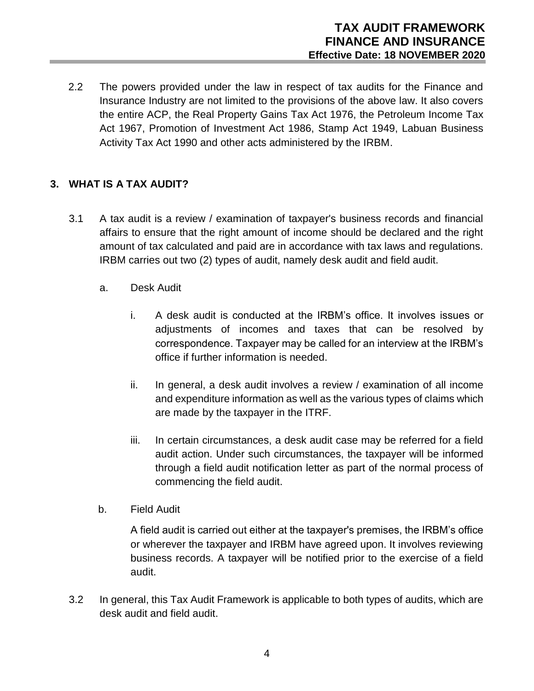2.2 The powers provided under the law in respect of tax audits for the Finance and Insurance Industry are not limited to the provisions of the above law. It also covers the entire ACP, the Real Property Gains Tax Act 1976, the Petroleum Income Tax Act 1967, Promotion of Investment Act 1986, Stamp Act 1949, Labuan Business Activity Tax Act 1990 and other acts administered by the IRBM.

# **3. WHAT IS A TAX AUDIT?**

- 3.1 A tax audit is a review / examination of taxpayer's business records and financial affairs to ensure that the right amount of income should be declared and the right amount of tax calculated and paid are in accordance with tax laws and regulations. IRBM carries out two (2) types of audit, namely desk audit and field audit.
	- a. Desk Audit
		- i. A desk audit is conducted at the IRBM's office. It involves issues or adjustments of incomes and taxes that can be resolved by correspondence. Taxpayer may be called for an interview at the IRBM's office if further information is needed.
		- ii. In general, a desk audit involves a review / examination of all income and expenditure information as well as the various types of claims which are made by the taxpayer in the ITRF.
		- iii. In certain circumstances, a desk audit case may be referred for a field audit action. Under such circumstances, the taxpayer will be informed through a field audit notification letter as part of the normal process of commencing the field audit.
	- b. Field Audit

A field audit is carried out either at the taxpayer's premises, the IRBM's office or wherever the taxpayer and IRBM have agreed upon. It involves reviewing business records. A taxpayer will be notified prior to the exercise of a field audit.

3.2 In general, this Tax Audit Framework is applicable to both types of audits, which are desk audit and field audit.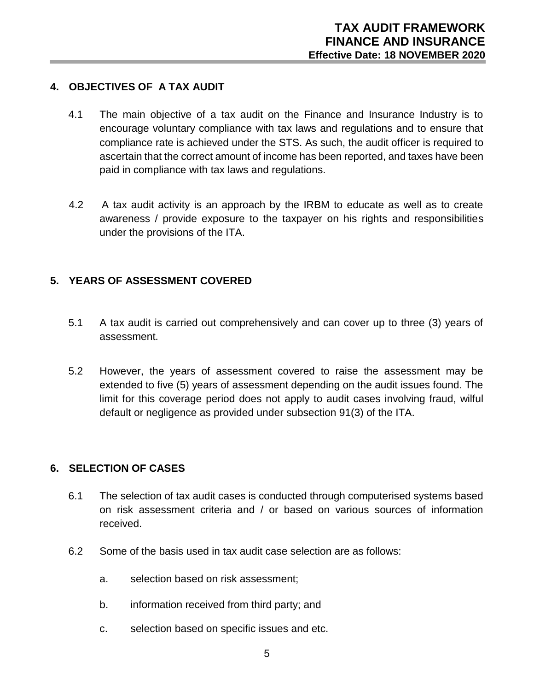#### **4. OBJECTIVES OF A TAX AUDIT**

- 4.1 The main objective of a tax audit on the Finance and Insurance Industry is to encourage voluntary compliance with tax laws and regulations and to ensure that compliance rate is achieved under the STS. As such, the audit officer is required to ascertain that the correct amount of income has been reported, and taxes have been paid in compliance with tax laws and regulations.
- 4.2 A tax audit activity is an approach by the IRBM to educate as well as to create awareness / provide exposure to the taxpayer on his rights and responsibilities under the provisions of the ITA.

# **5. YEARS OF ASSESSMENT COVERED**

- 5.1 A tax audit is carried out comprehensively and can cover up to three (3) years of assessment.
- 5.2 However, the years of assessment covered to raise the assessment may be extended to five (5) years of assessment depending on the audit issues found. The limit for this coverage period does not apply to audit cases involving fraud, wilful default or negligence as provided under subsection 91(3) of the ITA.

#### **6. SELECTION OF CASES**

- 6.1 The selection of tax audit cases is conducted through computerised systems based on risk assessment criteria and / or based on various sources of information received.
- 6.2 Some of the basis used in tax audit case selection are as follows:
	- a. selection based on risk assessment;
	- b. information received from third party; and
	- c. selection based on specific issues and etc.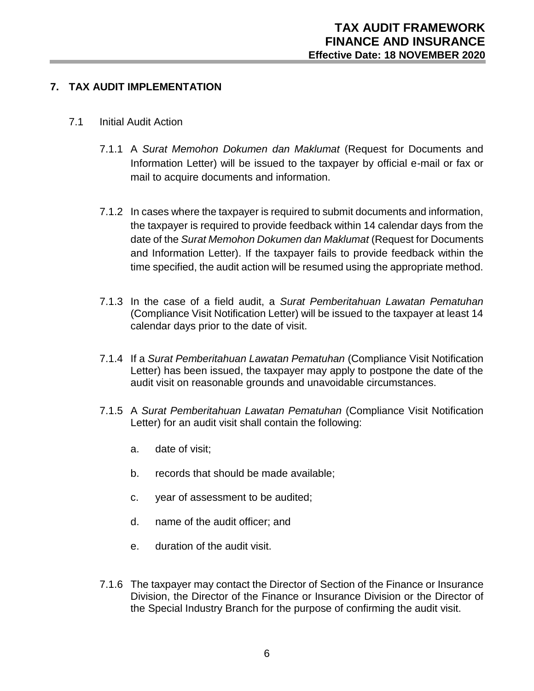# **7. TAX AUDIT IMPLEMENTATION**

- 7.1 Initial Audit Action
	- 7.1.1 A *Surat Memohon Dokumen dan Maklumat* (Request for Documents and Information Letter) will be issued to the taxpayer by official e-mail or fax or mail to acquire documents and information.
	- 7.1.2 In cases where the taxpayer is required to submit documents and information, the taxpayer is required to provide feedback within 14 calendar days from the date of the *Surat Memohon Dokumen dan Maklumat* (Request for Documents and Information Letter). If the taxpayer fails to provide feedback within the time specified, the audit action will be resumed using the appropriate method.
	- 7.1.3 In the case of a field audit, a *Surat Pemberitahuan Lawatan Pematuhan* (Compliance Visit Notification Letter) will be issued to the taxpayer at least 14 calendar days prior to the date of visit.
	- 7.1.4 If a *Surat Pemberitahuan Lawatan Pematuhan* (Compliance Visit Notification Letter) has been issued, the taxpayer may apply to postpone the date of the audit visit on reasonable grounds and unavoidable circumstances.
	- 7.1.5 A *Surat Pemberitahuan Lawatan Pematuhan* (Compliance Visit Notification Letter) for an audit visit shall contain the following:
		- a. date of visit;
		- b. records that should be made available;
		- c. year of assessment to be audited;
		- d. name of the audit officer; and
		- e. duration of the audit visit.
	- 7.1.6 The taxpayer may contact the Director of Section of the Finance or Insurance Division, the Director of the Finance or Insurance Division or the Director of the Special Industry Branch for the purpose of confirming the audit visit.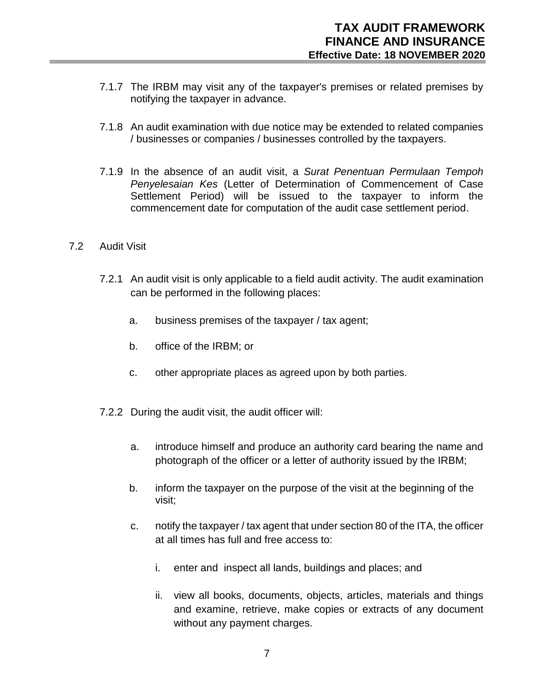- 7.1.7 The IRBM may visit any of the taxpayer's premises or related premises by notifying the taxpayer in advance.
- 7.1.8 An audit examination with due notice may be extended to related companies / businesses or companies / businesses controlled by the taxpayers.
- 7.1.9 In the absence of an audit visit, a *Surat Penentuan Permulaan Tempoh Penyelesaian Kes* (Letter of Determination of Commencement of Case Settlement Period) will be issued to the taxpayer to inform the commencement date for computation of the audit case settlement period.
- 7.2 Audit Visit
	- 7.2.1 An audit visit is only applicable to a field audit activity. The audit examination can be performed in the following places:
		- a. business premises of the taxpayer / tax agent;
		- b. office of the IRBM; or
		- c. other appropriate places as agreed upon by both parties.
	- 7.2.2 During the audit visit, the audit officer will:
		- a. introduce himself and produce an authority card bearing the name and photograph of the officer or a letter of authority issued by the IRBM;
		- b. inform the taxpayer on the purpose of the visit at the beginning of the visit;
		- c. notify the taxpayer / tax agent that under section 80 of the ITA, the officer at all times has full and free access to:
			- i. enter and inspect all lands, buildings and places; and
			- ii. view all books, documents, objects, articles, materials and things and examine, retrieve, make copies or extracts of any document without any payment charges.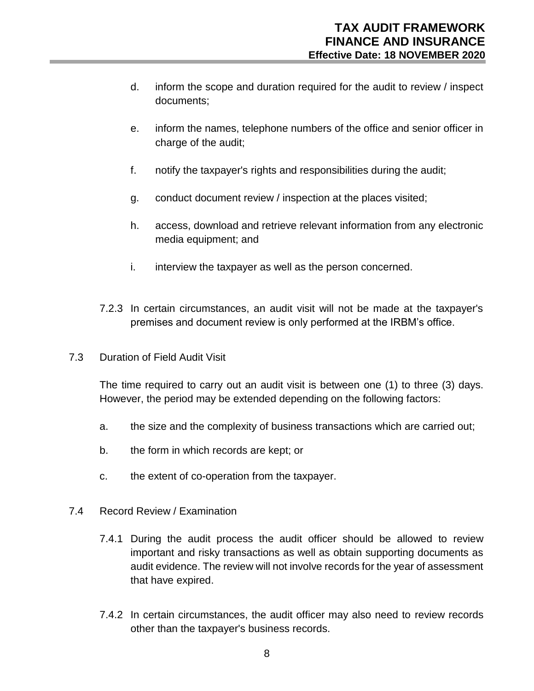- d. inform the scope and duration required for the audit to review / inspect documents;
- e. inform the names, telephone numbers of the office and senior officer in charge of the audit;
- f. notify the taxpayer's rights and responsibilities during the audit;
- g. conduct document review / inspection at the places visited;
- h. access, download and retrieve relevant information from any electronic media equipment; and
- i. interview the taxpayer as well as the person concerned.
- 7.2.3 In certain circumstances, an audit visit will not be made at the taxpayer's premises and document review is only performed at the IRBM's office.
- 7.3 Duration of Field Audit Visit

The time required to carry out an audit visit is between one (1) to three (3) days. However, the period may be extended depending on the following factors:

- a. the size and the complexity of business transactions which are carried out;
- b. the form in which records are kept; or
- c. the extent of co-operation from the taxpayer.
- 7.4 Record Review / Examination
	- 7.4.1 During the audit process the audit officer should be allowed to review important and risky transactions as well as obtain supporting documents as audit evidence. The review will not involve records for the year of assessment that have expired.
	- 7.4.2 In certain circumstances, the audit officer may also need to review records other than the taxpayer's business records.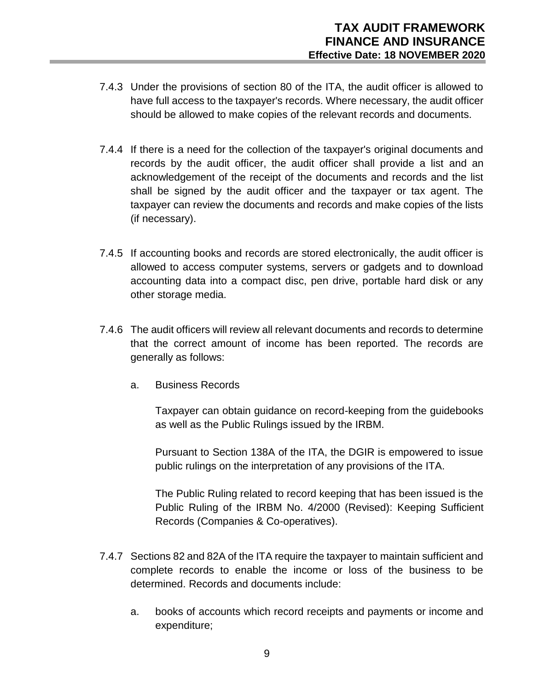- 7.4.3 Under the provisions of section 80 of the ITA, the audit officer is allowed to have full access to the taxpayer's records. Where necessary, the audit officer should be allowed to make copies of the relevant records and documents.
- 7.4.4 If there is a need for the collection of the taxpayer's original documents and records by the audit officer, the audit officer shall provide a list and an acknowledgement of the receipt of the documents and records and the list shall be signed by the audit officer and the taxpayer or tax agent. The taxpayer can review the documents and records and make copies of the lists (if necessary).
- 7.4.5 If accounting books and records are stored electronically, the audit officer is allowed to access computer systems, servers or gadgets and to download accounting data into a compact disc, pen drive, portable hard disk or any other storage media.
- 7.4.6 The audit officers will review all relevant documents and records to determine that the correct amount of income has been reported. The records are generally as follows:
	- a. Business Records

Taxpayer can obtain guidance on record-keeping from the guidebooks as well as the Public Rulings issued by the IRBM.

Pursuant to Section 138A of the ITA, the DGIR is empowered to issue public rulings on the interpretation of any provisions of the ITA.

The Public Ruling related to record keeping that has been issued is the Public Ruling of the IRBM No. 4/2000 (Revised): Keeping Sufficient Records (Companies & Co-operatives).

- 7.4.7 Sections 82 and 82A of the ITA require the taxpayer to maintain sufficient and complete records to enable the income or loss of the business to be determined. Records and documents include:
	- a. books of accounts which record receipts and payments or income and expenditure;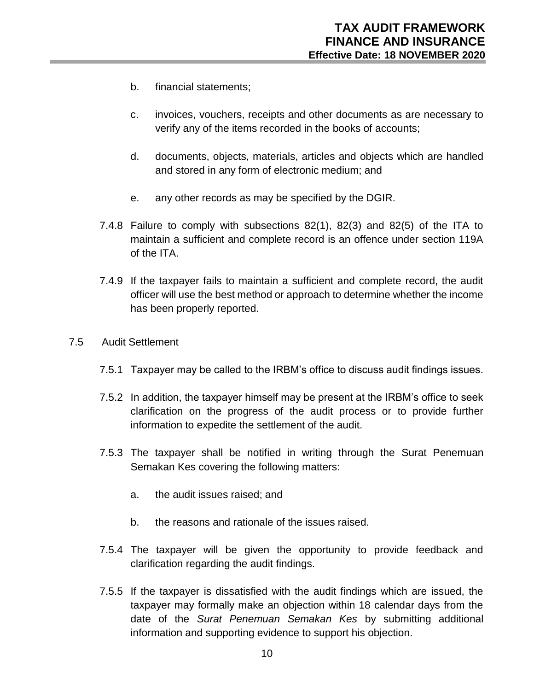- b. financial statements;
- c. invoices, vouchers, receipts and other documents as are necessary to verify any of the items recorded in the books of accounts;
- d. documents, objects, materials, articles and objects which are handled and stored in any form of electronic medium; and
- e. any other records as may be specified by the DGIR.
- 7.4.8 Failure to comply with subsections 82(1), 82(3) and 82(5) of the ITA to maintain a sufficient and complete record is an offence under section 119A of the ITA.
- 7.4.9 If the taxpayer fails to maintain a sufficient and complete record, the audit officer will use the best method or approach to determine whether the income has been properly reported.
- 7.5 Audit Settlement
	- 7.5.1 Taxpayer may be called to the IRBM's office to discuss audit findings issues.
	- 7.5.2 In addition, the taxpayer himself may be present at the IRBM's office to seek clarification on the progress of the audit process or to provide further information to expedite the settlement of the audit.
	- 7.5.3 The taxpayer shall be notified in writing through the Surat Penemuan Semakan Kes covering the following matters:
		- a. the audit issues raised; and
		- b. the reasons and rationale of the issues raised.
	- 7.5.4 The taxpayer will be given the opportunity to provide feedback and clarification regarding the audit findings.
	- 7.5.5 If the taxpayer is dissatisfied with the audit findings which are issued, the taxpayer may formally make an objection within 18 calendar days from the date of the *Surat Penemuan Semakan Kes* by submitting additional information and supporting evidence to support his objection.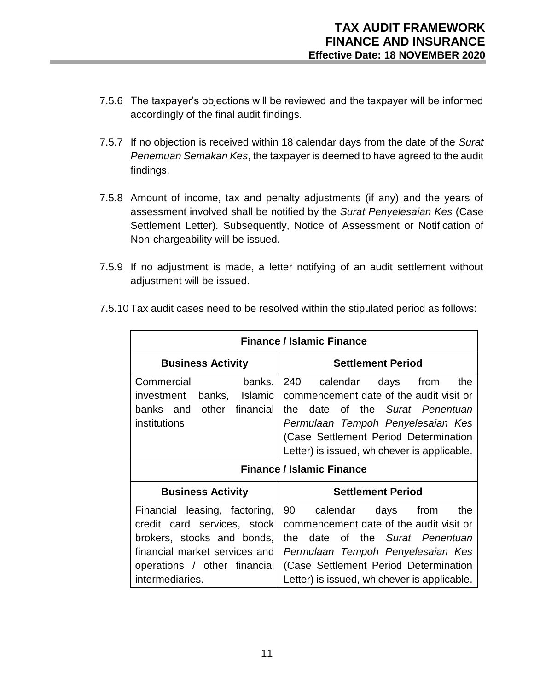- 7.5.6 The taxpayer's objections will be reviewed and the taxpayer will be informed accordingly of the final audit findings.
- 7.5.7 If no objection is received within 18 calendar days from the date of the *Surat Penemuan Semakan Kes*, the taxpayer is deemed to have agreed to the audit findings.
- 7.5.8 Amount of income, tax and penalty adjustments (if any) and the years of assessment involved shall be notified by the *Surat Penyelesaian Kes* (Case Settlement Letter). Subsequently, Notice of Assessment or Notification of Non-chargeability will be issued.
- 7.5.9 If no adjustment is made, a letter notifying of an audit settlement without adjustment will be issued.

| <b>Finance / Islamic Finance</b> |                                             |  |  |  |  |  |  |  |  |
|----------------------------------|---------------------------------------------|--|--|--|--|--|--|--|--|
| <b>Business Activity</b>         | <b>Settlement Period</b>                    |  |  |  |  |  |  |  |  |
| Commercial<br>banks,             | 240<br>calendar<br>the<br>days<br>from      |  |  |  |  |  |  |  |  |
| banks, Islamic<br>investment     | commencement date of the audit visit or     |  |  |  |  |  |  |  |  |
| other<br>financial<br>banks and  | of the Surat Penentuan<br>the<br>date       |  |  |  |  |  |  |  |  |
| institutions                     | Permulaan Tempoh Penyelesaian Kes           |  |  |  |  |  |  |  |  |
|                                  | (Case Settlement Period Determination       |  |  |  |  |  |  |  |  |
|                                  | Letter) is issued, whichever is applicable. |  |  |  |  |  |  |  |  |
| <b>Finance / Islamic Finance</b> |                                             |  |  |  |  |  |  |  |  |
|                                  |                                             |  |  |  |  |  |  |  |  |
| <b>Business Activity</b>         | <b>Settlement Period</b>                    |  |  |  |  |  |  |  |  |
| Financial leasing, factoring,    | 90<br>calendar<br>days from<br>the          |  |  |  |  |  |  |  |  |
| credit card services, stock      | commencement date of the audit visit or     |  |  |  |  |  |  |  |  |
| brokers, stocks and bonds,       | of the Surat Penentuan<br>the<br>date       |  |  |  |  |  |  |  |  |
| financial market services and    | Permulaan Tempoh Penyelesaian Kes           |  |  |  |  |  |  |  |  |
| operations / other financial     | (Case Settlement Period Determination       |  |  |  |  |  |  |  |  |

7.5.10 Tax audit cases need to be resolved within the stipulated period as follows: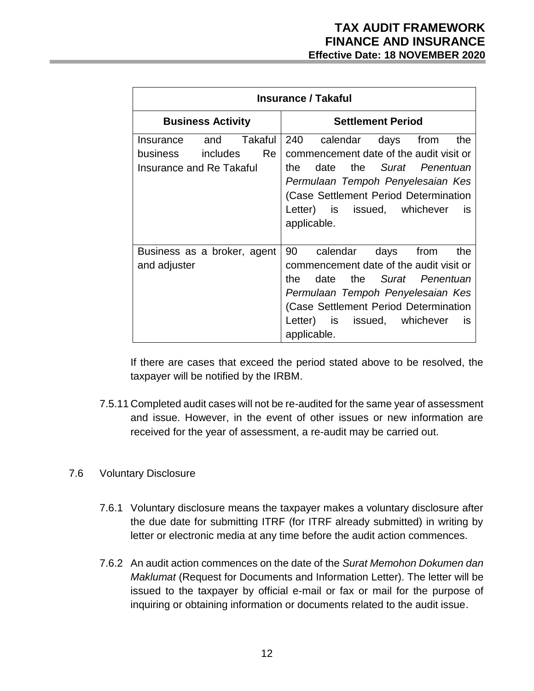| <b>Insurance / Takaful</b>                                 |                                                                                                                                                                                                                                                                         |  |  |  |  |  |  |  |  |  |
|------------------------------------------------------------|-------------------------------------------------------------------------------------------------------------------------------------------------------------------------------------------------------------------------------------------------------------------------|--|--|--|--|--|--|--|--|--|
| <b>Business Activity</b>                                   | <b>Settlement Period</b>                                                                                                                                                                                                                                                |  |  |  |  |  |  |  |  |  |
| business includes<br>Re<br><b>Insurance and Re Takaful</b> | Insurance and Takaful 240 calendar days from<br>the<br>commencement date of the audit visit or<br>date the Surat Penentuan<br>the<br>Permulaan Tempoh Penyelesaian Kes<br>(Case Settlement Period Determination<br>Letter) is issued, whichever<br>is is<br>applicable. |  |  |  |  |  |  |  |  |  |
| Business as a broker, agent<br>and adjuster                | 90<br>calendar<br>days<br>from<br>the<br>commencement date of the audit visit or<br>the Surat Penentuan<br>the<br>date<br>Permulaan Tempoh Penyelesaian Kes<br>(Case Settlement Period Determination<br>Letter) is issued, whichever<br><b>is</b><br>applicable.        |  |  |  |  |  |  |  |  |  |

If there are cases that exceed the period stated above to be resolved, the taxpayer will be notified by the IRBM.

7.5.11 Completed audit cases will not be re-audited for the same year of assessment and issue. However, in the event of other issues or new information are received for the year of assessment, a re-audit may be carried out.

#### 7.6 Voluntary Disclosure

- 7.6.1 Voluntary disclosure means the taxpayer makes a voluntary disclosure after the due date for submitting ITRF (for ITRF already submitted) in writing by letter or electronic media at any time before the audit action commences.
- 7.6.2 An audit action commences on the date of the *Surat Memohon Dokumen dan Maklumat* (Request for Documents and Information Letter). The letter will be issued to the taxpayer by official e-mail or fax or mail for the purpose of inquiring or obtaining information or documents related to the audit issue.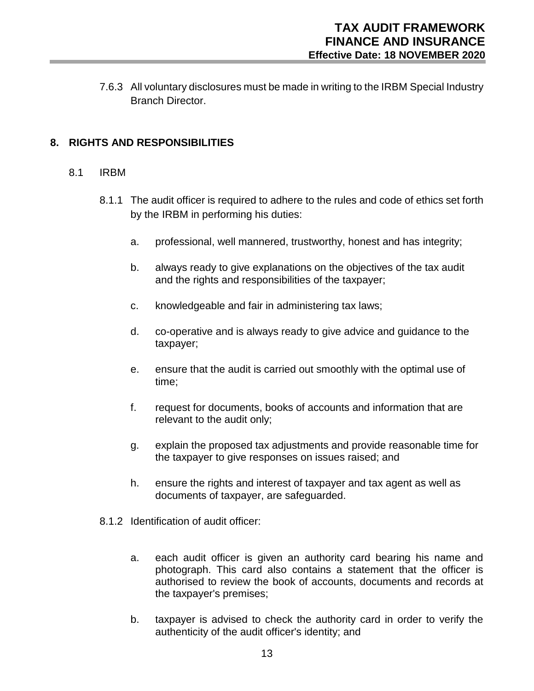7.6.3 All voluntary disclosures must be made in writing to the IRBM Special Industry Branch Director.

### **8. RIGHTS AND RESPONSIBILITIES**

#### 8.1 IRBM

- 8.1.1 The audit officer is required to adhere to the rules and code of ethics set forth by the IRBM in performing his duties:
	- a. professional, well mannered, trustworthy, honest and has integrity;
	- b. always ready to give explanations on the objectives of the tax audit and the rights and responsibilities of the taxpayer;
	- c. knowledgeable and fair in administering tax laws;
	- d. co-operative and is always ready to give advice and guidance to the taxpayer;
	- e. ensure that the audit is carried out smoothly with the optimal use of time;
	- f. request for documents, books of accounts and information that are relevant to the audit only;
	- g. explain the proposed tax adjustments and provide reasonable time for the taxpayer to give responses on issues raised; and
	- h. ensure the rights and interest of taxpayer and tax agent as well as documents of taxpayer, are safeguarded.
- 8.1.2 Identification of audit officer:
	- a. each audit officer is given an authority card bearing his name and photograph. This card also contains a statement that the officer is authorised to review the book of accounts, documents and records at the taxpayer's premises;
	- b. taxpayer is advised to check the authority card in order to verify the authenticity of the audit officer's identity; and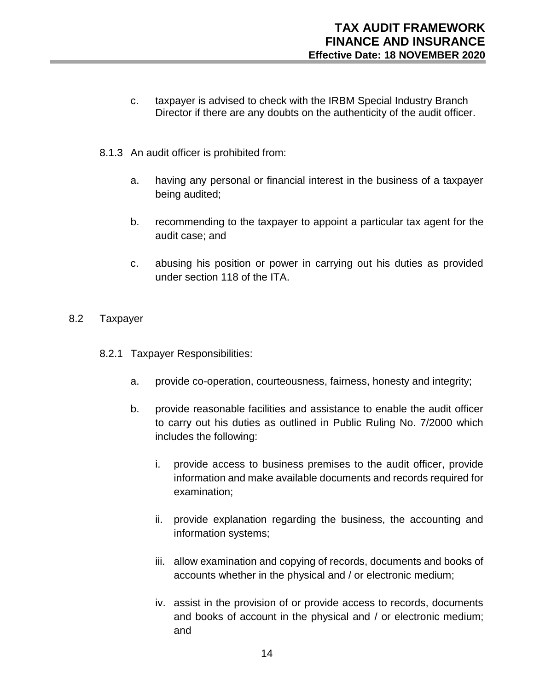- c. taxpayer is advised to check with the IRBM Special Industry Branch Director if there are any doubts on the authenticity of the audit officer.
- 8.1.3 An audit officer is prohibited from:
	- a. having any personal or financial interest in the business of a taxpayer being audited;
	- b. recommending to the taxpayer to appoint a particular tax agent for the audit case; and
	- c. abusing his position or power in carrying out his duties as provided under section 118 of the ITA.

#### 8.2 Taxpayer

- 8.2.1 Taxpayer Responsibilities:
	- a. provide co-operation, courteousness, fairness, honesty and integrity;
	- b. provide reasonable facilities and assistance to enable the audit officer to carry out his duties as outlined in Public Ruling No. 7/2000 which includes the following:
		- i. provide access to business premises to the audit officer, provide information and make available documents and records required for examination;
		- ii. provide explanation regarding the business, the accounting and information systems;
		- iii. allow examination and copying of records, documents and books of accounts whether in the physical and / or electronic medium;
		- iv. assist in the provision of or provide access to records, documents and books of account in the physical and / or electronic medium; and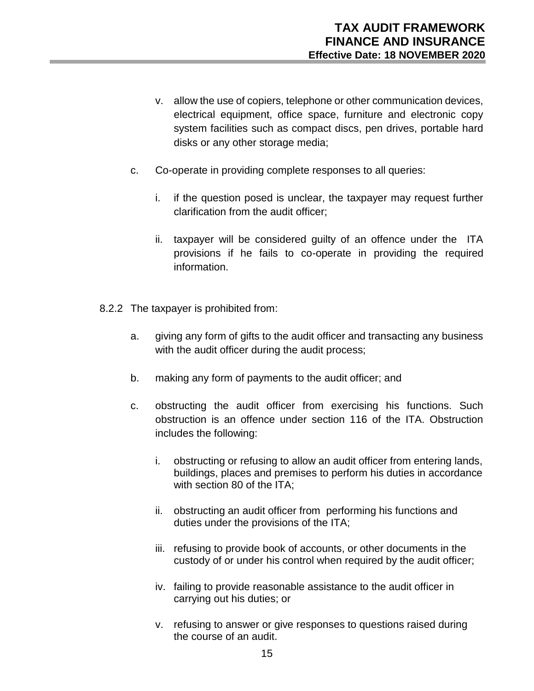- v. allow the use of copiers, telephone or other communication devices, electrical equipment, office space, furniture and electronic copy system facilities such as compact discs, pen drives, portable hard disks or any other storage media;
- c. Co-operate in providing complete responses to all queries:
	- i. if the question posed is unclear, the taxpayer may request further clarification from the audit officer;
	- ii. taxpayer will be considered guilty of an offence under the ITA provisions if he fails to co-operate in providing the required information.
- 8.2.2 The taxpayer is prohibited from:
	- a. giving any form of gifts to the audit officer and transacting any business with the audit officer during the audit process;
	- b. making any form of payments to the audit officer; and
	- c. obstructing the audit officer from exercising his functions. Such obstruction is an offence under section 116 of the ITA. Obstruction includes the following:
		- i. obstructing or refusing to allow an audit officer from entering lands, buildings, places and premises to perform his duties in accordance with section 80 of the ITA;
		- ii. obstructing an audit officer from performing his functions and duties under the provisions of the ITA;
		- iii. refusing to provide book of accounts, or other documents in the custody of or under his control when required by the audit officer;
		- iv. failing to provide reasonable assistance to the audit officer in carrying out his duties; or
		- v. refusing to answer or give responses to questions raised during the course of an audit.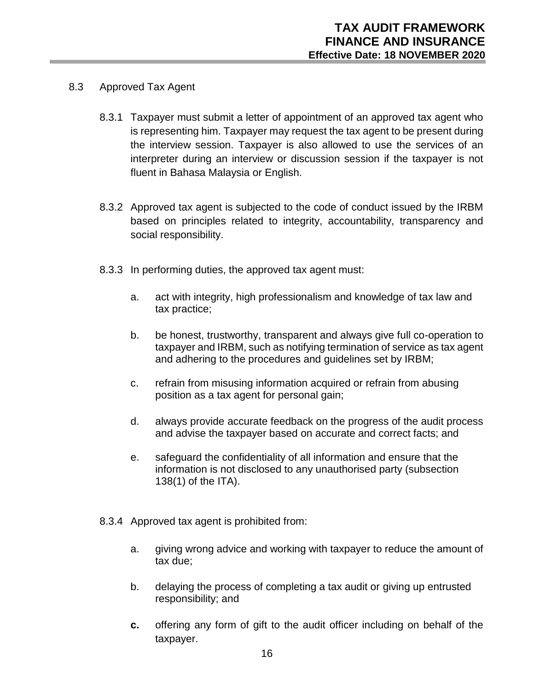- 8.3 Approved Tax Agent
	- 8.3.1 Taxpayer must submit a letter of appointment of an approved tax agent who is representing him. Taxpayer may request the tax agent to be present during the interview session. Taxpayer is also allowed to use the services of an interpreter during an interview or discussion session if the taxpayer is not fluent in Bahasa Malaysia or English.
	- 8.3.2 Approved tax agent is subjected to the code of conduct issued by the IRBM based on principles related to integrity, accountability, transparency and social responsibility.
	- 8.3.3 In performing duties, the approved tax agent must:
		- a. act with integrity, high professionalism and knowledge of tax law and tax practice;
		- b. be honest, trustworthy, transparent and always give full co-operation to taxpayer and IRBM, such as notifying termination of service as tax agent and adhering to the procedures and guidelines set by IRBM;
		- c. refrain from misusing information acquired or refrain from abusing position as a tax agent for personal gain;
		- d. always provide accurate feedback on the progress of the audit process and advise the taxpayer based on accurate and correct facts; and
		- e. safeguard the confidentiality of all information and ensure that the information is not disclosed to any unauthorised party (subsection 138(1) of the ITA).
	- 8.3.4 Approved tax agent is prohibited from:
		- a. giving wrong advice and working with taxpayer to reduce the amount of tax due;
		- b. delaying the process of completing a tax audit or giving up entrusted responsibility; and
		- **c.** offering any form of gift to the audit officer including on behalf of the taxpayer.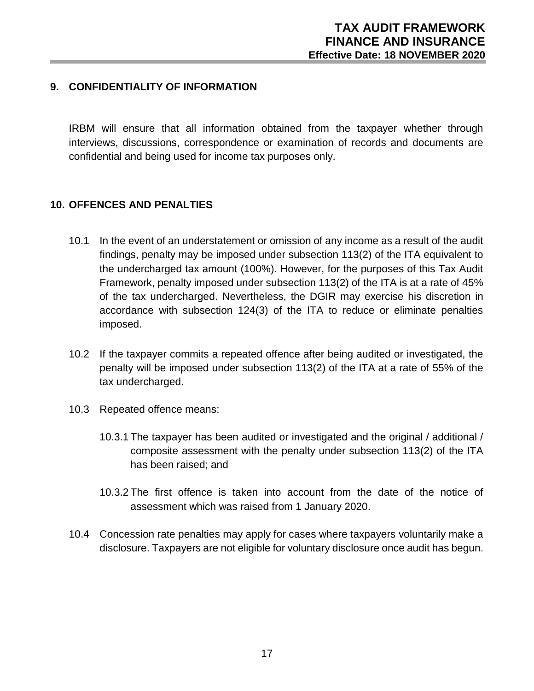#### **9. CONFIDENTIALITY OF INFORMATION**

IRBM will ensure that all information obtained from the taxpayer whether through interviews, discussions, correspondence or examination of records and documents are confidential and being used for income tax purposes only.

#### **10. OFFENCES AND PENALTIES**

- 10.1 In the event of an understatement or omission of any income as a result of the audit findings, penalty may be imposed under subsection 113(2) of the ITA equivalent to the undercharged tax amount (100%). However, for the purposes of this Tax Audit Framework, penalty imposed under subsection 113(2) of the ITA is at a rate of 45% of the tax undercharged. Nevertheless, the DGIR may exercise his discretion in accordance with subsection 124(3) of the ITA to reduce or eliminate penalties imposed.
- 10.2 If the taxpayer commits a repeated offence after being audited or investigated, the penalty will be imposed under subsection 113(2) of the ITA at a rate of 55% of the tax undercharged.
- 10.3 Repeated offence means:
	- 10.3.1 The taxpayer has been audited or investigated and the original / additional / composite assessment with the penalty under subsection 113(2) of the ITA has been raised; and
	- 10.3.2 The first offence is taken into account from the date of the notice of assessment which was raised from 1 January 2020.
- 10.4 Concession rate penalties may apply for cases where taxpayers voluntarily make a disclosure. Taxpayers are not eligible for voluntary disclosure once audit has begun.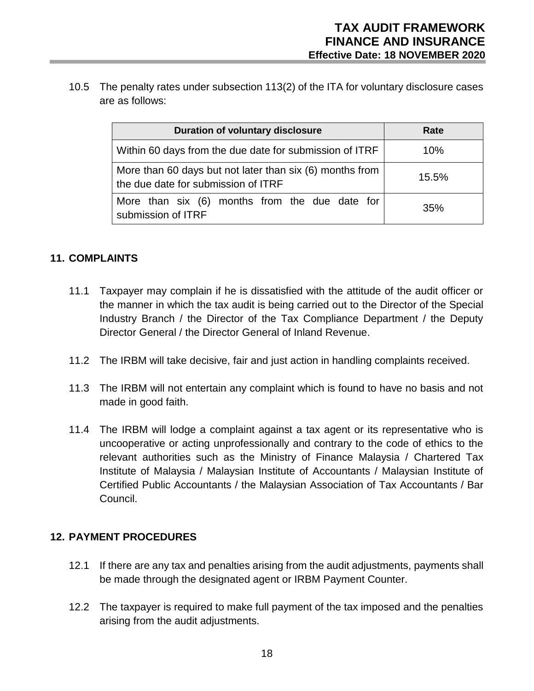10.5 The penalty rates under subsection 113(2) of the ITA for voluntary disclosure cases are as follows:

| <b>Duration of voluntary disclosure</b>                                                         | Rate     |
|-------------------------------------------------------------------------------------------------|----------|
| Within 60 days from the due date for submission of ITRF                                         | 10%      |
| More than 60 days but not later than six (6) months from<br>the due date for submission of ITRF | $15.5\%$ |
| More than six (6) months from the due date for<br>submission of ITRF                            | 35%      |

# **11. COMPLAINTS**

- 11.1 Taxpayer may complain if he is dissatisfied with the attitude of the audit officer or the manner in which the tax audit is being carried out to the Director of the Special Industry Branch / the Director of the Tax Compliance Department / the Deputy Director General / the Director General of Inland Revenue.
- 11.2 The IRBM will take decisive, fair and just action in handling complaints received.
- 11.3 The IRBM will not entertain any complaint which is found to have no basis and not made in good faith.
- 11.4 The IRBM will lodge a complaint against a tax agent or its representative who is uncooperative or acting unprofessionally and contrary to the code of ethics to the relevant authorities such as the Ministry of Finance Malaysia / Chartered Tax Institute of Malaysia / Malaysian Institute of Accountants / Malaysian Institute of Certified Public Accountants / the Malaysian Association of Tax Accountants / Bar Council.

#### **12. PAYMENT PROCEDURES**

- 12.1 If there are any tax and penalties arising from the audit adjustments, payments shall be made through the designated agent or IRBM Payment Counter.
- 12.2 The taxpayer is required to make full payment of the tax imposed and the penalties arising from the audit adjustments.